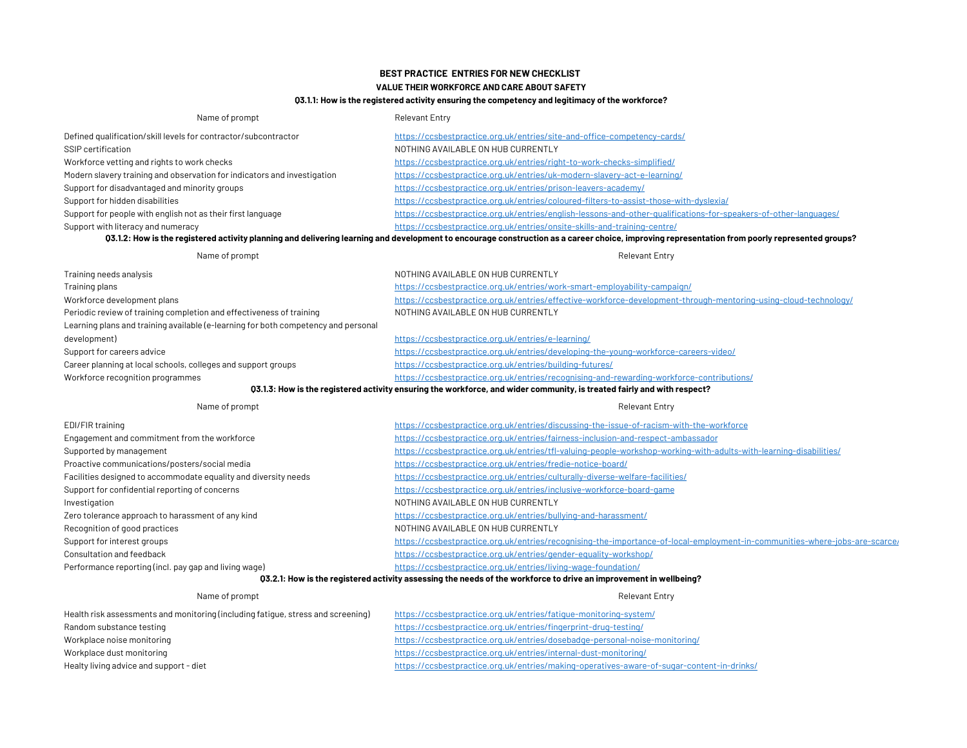# BEST PRACTICE ENTRIES FOR NEW CHECKLIST

## VALUE THEIR WORKFORCE AND CARE ABOUT SAFETY

## Q3.1.1: How is the registered activity ensuring the competency and legitimacy of the workforce?

| Name of prompt                                                                                                          | <b>Relevant Entry</b>                                                                                                                                                                          |  |
|-------------------------------------------------------------------------------------------------------------------------|------------------------------------------------------------------------------------------------------------------------------------------------------------------------------------------------|--|
| Defined qualification/skill levels for contractor/subcontractor                                                         | https://ccsbestpractice.org.uk/entries/site-and-office-competency-cards/                                                                                                                       |  |
| SSIP certification                                                                                                      | NOTHING AVAILABLE ON HUB CURRENTLY                                                                                                                                                             |  |
| Workforce vetting and rights to work checks                                                                             | https://ccsbestpractice.org.uk/entries/right-to-work-checks-simplified/                                                                                                                        |  |
| Modern slavery training and observation for indicators and investigation                                                | https://ccsbestpractice.org.uk/entries/uk-modern-slavery-act-e-learning/                                                                                                                       |  |
| Support for disadvantaged and minority groups                                                                           | https://ccsbestpractice.org.uk/entries/prison-leavers-academy/                                                                                                                                 |  |
| Support for hidden disabilities                                                                                         | https://ccsbestpractice.org.uk/entries/coloured-filters-to-assist-those-with-dyslexia/                                                                                                         |  |
| Support for people with english not as their first language                                                             | https://ccsbestpractice.org.uk/entries/english-lessons-and-other-qualifications-for-speakers-of-other-languages/                                                                               |  |
| Support with literacy and numeracy                                                                                      | https://ccsbestpractice.org.uk/entries/onsite-skills-and-training-centre/                                                                                                                      |  |
|                                                                                                                         | 03.1.2: How is the registered activity planning and delivering learning and development to encourage construction as a career choice, improving representation from poorly represented groups? |  |
| Name of prompt                                                                                                          | <b>Relevant Entry</b>                                                                                                                                                                          |  |
| Training needs analysis                                                                                                 | NOTHING AVAILABLE ON HUB CURRENTLY                                                                                                                                                             |  |
| Training plans                                                                                                          | https://ccsbestpractice.org.uk/entries/work-smart-employability-campaign/                                                                                                                      |  |
| Workforce development plans                                                                                             | https://ccsbestpractice.org.uk/entries/effective-workforce-development-through-mentoring-using-cloud-technology/                                                                               |  |
| Periodic review of training completion and effectiveness of training                                                    | NOTHING AVAILABLE ON HUB CURRENTLY                                                                                                                                                             |  |
| Learning plans and training available (e-learning for both competency and personal                                      |                                                                                                                                                                                                |  |
| development)                                                                                                            | https://ccsbestpractice.org.uk/entries/e-learning/                                                                                                                                             |  |
| Support for careers advice                                                                                              | https://ccsbestpractice.org.uk/entries/developing-the-young-workforce-careers-video/                                                                                                           |  |
| Career planning at local schools, colleges and support groups                                                           | https://ccsbestpractice.org.uk/entries/building-futures/                                                                                                                                       |  |
| Workforce recognition programmes                                                                                        | https://ccsbestpractice.org.uk/entries/recognising-and-rewarding-workforce-contributions/                                                                                                      |  |
| 03.1.3: How is the registered activity ensuring the workforce, and wider community, is treated fairly and with respect? |                                                                                                                                                                                                |  |
| Name of prompt                                                                                                          | <b>Relevant Entry</b>                                                                                                                                                                          |  |
| EDI/FIR training                                                                                                        | https://ccsbestpractice.org.uk/entries/discussing-the-issue-of-racism-with-the-workforce                                                                                                       |  |
| Engagement and commitment from the workforce                                                                            | https://ccsbestpractice.org.uk/entries/fairness-inclusion-and-respect-ambassador                                                                                                               |  |
| Supported by management                                                                                                 | https://ccsbestpractice.org.uk/entries/tfl-valuing-people-workshop-working-with-adults-with-learning-disabilities/                                                                             |  |
| Proactive communications/posters/social media                                                                           | https://ccsbestpractice.org.uk/entries/fredie-notice-board/                                                                                                                                    |  |
| Facilities designed to accommodate equality and diversity needs                                                         | https://ccsbestpractice.org.uk/entries/culturally-diverse-welfare-facilities/                                                                                                                  |  |
| Support for confidential reporting of concerns                                                                          | https://ccsbestpractice.org.uk/entries/inclusive-workforce-board-game                                                                                                                          |  |
| Investigation                                                                                                           | NOTHING AVAILABLE ON HUB CURRENTLY                                                                                                                                                             |  |
| Zero tolerance approach to harassment of any kind                                                                       | https://ccsbestpractice.org.uk/entries/bullying-and-harassment/                                                                                                                                |  |
| Recognition of good practices                                                                                           | NOTHING AVAILABLE ON HUB CURRENTLY                                                                                                                                                             |  |
| Support for interest groups                                                                                             | https://ccsbestpractice.org.uk/entries/recognising-the-importance-of-local-employment-in-communities-where-jobs-are-scarce/                                                                    |  |
| Consultation and feedback                                                                                               | https://ccsbestpractice.org.uk/entries/gender-equality-workshop/                                                                                                                               |  |
| Performance reporting (incl. pay gap and living wage)                                                                   | https://ccsbestpractice.org.uk/entries/living-wage-foundation/                                                                                                                                 |  |
| 03.2.1: How is the registered activity assessing the needs of the workforce to drive an improvement in wellbeing?       |                                                                                                                                                                                                |  |

| Name of prompt                                                                   | <b>Relevant Entry</b>                                                                      |
|----------------------------------------------------------------------------------|--------------------------------------------------------------------------------------------|
| Health risk assessments and monitoring (including fatigue, stress and screening) | https://ccsbestpractice.org.uk/entries/fatique-monitoring-system/                          |
| Random substance testing                                                         | https://ccsbestpractice.org.uk/entries/fingerprint-drug-testing/                           |
| Workplace noise monitoring                                                       | https://ccsbestpractice.org.uk/entries/dosebadge-personal-noise-monitoring/                |
| Workplace dust monitoring                                                        | https://ccsbestpractice.org.uk/entries/internal-dust-monitoring/                           |
| Healty living advice and support - diet                                          | https://ccsbestpractice.org.uk/entries/making-operatives-aware-of-sugar-content-in-drinks/ |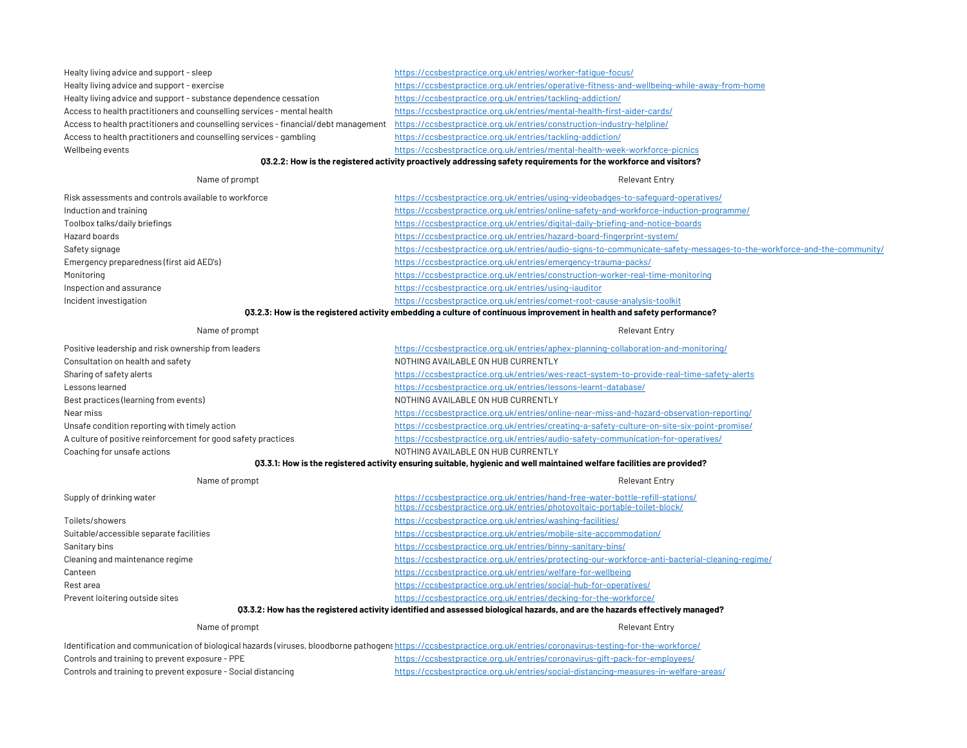| Healty living advice and support - sleep                                            | https://ccsbestpractice.org.uk/entries/worker-fatique-focus/                                |
|-------------------------------------------------------------------------------------|---------------------------------------------------------------------------------------------|
| Healty living advice and support - exercise                                         | https://ccsbestpractice.org.uk/entries/operative-fitness-and-wellbeing-while-away-from-home |
| Healty living advice and support - substance dependence cessation                   | https://ccsbestpractice.org.uk/entries/tackling-addiction/                                  |
| Access to health practitioners and counselling services - mental health             | https://ccsbestpractice.org.uk/entries/mental-health-first-aider-cards/                     |
| Access to health practitioners and counselling services - financial/debt management | https://ccsbestpractice.org.uk/entries/construction-industry-helpline/                      |
| Access to health practitioners and counselling services - gambling                  | https://ccsbestpractice.org.uk/entries/tackling-addiction/                                  |
| Wellbeing events                                                                    | https://ccsbestpractice.org.uk/entries/mental-health-week-workforce-picnics                 |

### Q3.2.2: How is the registered activity proactively addressing safety requirements for the workforce and visitors?

#### Risk assessments and controls available to workforce Induction and training Toolbox talks/daily briefings Hazard boards Safety signage Emergency preparedness (first aid AED's) Monitoring Inspection and assurance Incident investigation https://ccsbestpractice.org.uk/entries/using-videobadges-to-safeguard-operatives/ https://ccsbestpractice.org.uk/entries/online-safety-and-workforce-induction-programme/ https://ccsbestpractice.org.uk/entries/digital-daily-briefing-and-notice-boards Name of prompt **Relevant Entry** https://ccsbestpractice.org.uk/entries/hazard-board-fingerprint-system/ https://ccsbestpractice.org.uk/entries/audio-signs-to-communicate-safety-messages-to-the-workforce-and-the-community/ https://ccsbestpractice.org.uk/entries/emergency-trauma-packs/ https://ccsbestpractice.org.uk/entries/construction-worker-real-time-monitoring https://ccsbestpractice.org.uk/entries/using-iauditor https://ccsbestpractice.org.uk/entries/comet-root-cause-analysis-toolkit Q3.2.3: How is the registered activity embedding a culture of continuous improvement in health and safety performance?

| Name of prompt                                                | <b>Relevant Entry</b>                                                                       |
|---------------------------------------------------------------|---------------------------------------------------------------------------------------------|
| Positive leadership and risk ownership from leaders           | https://ccsbestpractice.org.uk/entries/aphex-planning-collaboration-and-monitoring/         |
| Consultation on health and safety                             | NOTHING AVAILABLE ON HUB CURRENTLY                                                          |
| Sharing of safety alerts                                      | https://ccsbestpractice.org.uk/entries/wes-react-system-to-provide-real-time-safety-alerts  |
| Lessons learned                                               | https://ccsbestpractice.org.uk/entries/lessons-learnt-database/                             |
| Best practices (learning from events)                         | NOTHING AVAILABLE ON HUB CURRENTLY                                                          |
| Near miss                                                     | https://ccsbestpractice.org.uk/entries/online-near-miss-and-hazard-observation-reporting/   |
| Unsafe condition reporting with timely action                 | https://ccsbestpractice.org.uk/entries/creating-a-safety-culture-on-site-six-point-promise/ |
| A culture of positive reinforcement for good safety practices | https://ccsbestpractice.org.uk/entries/audio-safety-communication-for-operatives/           |
| Coaching for unsafe actions                                   | NOTHING AVAILABLE ON HUB CURRENTLY                                                          |

## Q3.3.1: How is the registered activity ensuring suitable, hygienic and well maintained welfare facilities are provided?

| Name of prompt                          | <b>Relevant Entry</b>                                                                                                                                        |
|-----------------------------------------|--------------------------------------------------------------------------------------------------------------------------------------------------------------|
| Supply of drinking water                | https://ccsbestpractice.org.uk/entries/hand-free-water-bottle-refill-stations/<br>https://ccsbestpractice.org.uk/entries/photovoltaic-portable-toilet-block/ |
| Toilets/showers                         | https://ccsbestpractice.org.uk/entries/washing-facilities/                                                                                                   |
| Suitable/accessible separate facilities | https://ccsbestpractice.org.uk/entries/mobile-site-accommodation/                                                                                            |
| Sanitary bins                           | https://ccsbestpractice.org.uk/entries/binny-sanitary-bins/                                                                                                  |
| Cleaning and maintenance regime         | https://ccsbestpractice.org.uk/entries/protecting-our-workforce-anti-bacterial-cleaning-regime/                                                              |
| Canteen                                 | https://ccsbestpractice.org.uk/entries/welfare-for-wellbeing                                                                                                 |
| Rest area                               | https://ccsbestpractice.org.uk/entries/social-hub-for-operatives/                                                                                            |
| Prevent loitering outside sites         | https://ccsbestpractice.org.uk/entries/decking-for-the-workforce/                                                                                            |
|                                         | 03.3.2 no Haw has the registered estivity identified and conceed biological begards, and are the begards effectively menoged?                                |

### Q3.3.2: How has the registered activity identified and assessed biological hazards, and are the hazards effectively managed?

#### Name of prompt **Relevant Entry**

| Identification and communication of biological hazards (viruses, bloodborne pathogens https://ccsbestpractice.org.uk/entries/coronavirus-testing-for-the-workforce/ |                                                                                     |  |
|---------------------------------------------------------------------------------------------------------------------------------------------------------------------|-------------------------------------------------------------------------------------|--|
| Controls and training to prevent exposure - PPE                                                                                                                     | https://ccsbestpractice.org.uk/entries/coronavirus-gift-pack-for-employees/         |  |
| Controls and training to prevent exposure - Social distancing                                                                                                       | https://ccsbestpractice.org.uk/entries/social-distancing-measures-in-welfare-areas/ |  |